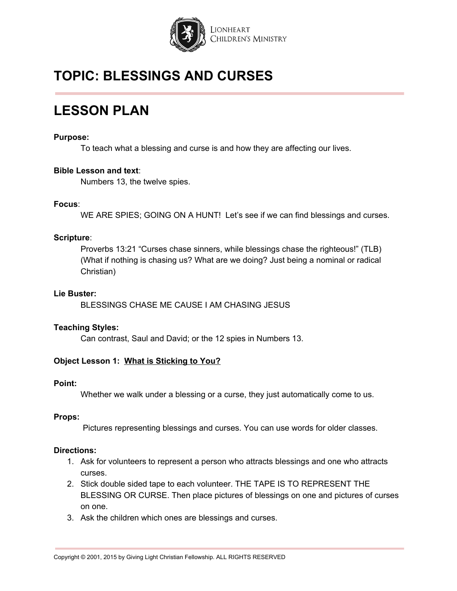

## **LESSON PLAN**

#### **Purpose:**

To teach what a blessing and curse is and how they are affecting our lives.

#### **Bible Lesson and text**:

Numbers 13, the twelve spies.

#### **Focus**:

WE ARE SPIES; GOING ON A HUNT! Let's see if we can find blessings and curses.

#### **Scripture**:

Proverbs 13:21 "Curses chase sinners, while blessings chase the righteous!" (TLB) (What if nothing is chasing us? What are we doing? Just being a nominal or radical Christian)

#### **Lie Buster:**

BLESSINGS CHASE ME CAUSE I AM CHASING JESUS

#### **Teaching Styles:**

Can contrast, Saul and David; or the 12 spies in Numbers 13.

#### **Object Lesson 1: What is Sticking to You?**

#### **Point:**

Whether we walk under a blessing or a curse, they just automatically come to us.

#### **Props:**

Pictures representing blessings and curses. You can use words for older classes.

- 1. Ask for volunteers to represent a person who attracts blessings and one who attracts curses.
- 2. Stick double sided tape to each volunteer. THE TAPE IS TO REPRESENT THE BLESSING OR CURSE. Then place pictures of blessings on one and pictures of curses on one.
- 3. Ask the children which ones are blessings and curses.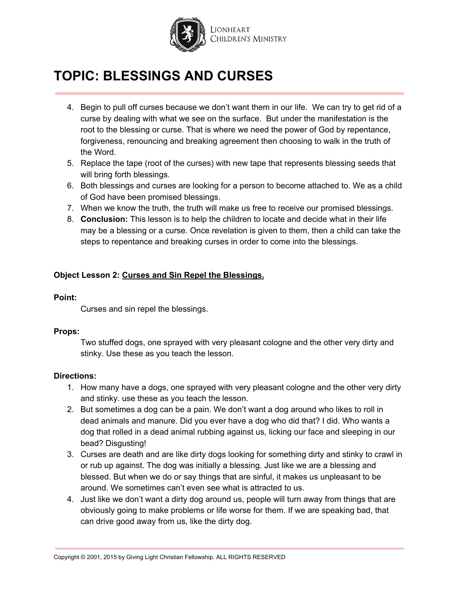

- 4. Begin to pull off curses because we don't want them in our life. We can try to get rid of a curse by dealing with what we see on the surface. But under the manifestation is the root to the blessing or curse. That is where we need the power of God by repentance, forgiveness, renouncing and breaking agreement then choosing to walk in the truth of the Word.
- 5. Replace the tape (root of the curses) with new tape that represents blessing seeds that will bring forth blessings.
- 6. Both blessings and curses are looking for a person to become attached to. We as a child of God have been promised blessings.
- 7. When we know the truth, the truth will make us free to receive our promised blessings.
- 8. **Conclusion:** This lesson is to help the children to locate and decide what in their life may be a blessing or a curse. Once revelation is given to them, then a child can take the steps to repentance and breaking curses in order to come into the blessings.

#### **Object Lesson 2: Curses and Sin Repel the Blessings.**

#### **Point:**

Curses and sin repel the blessings.

#### **Props:**

Two stuffed dogs, one sprayed with very pleasant cologne and the other very dirty and stinky. Use these as you teach the lesson.

- 1. How many have a dogs, one sprayed with very pleasant cologne and the other very dirty and stinky. use these as you teach the lesson.
- 2. But sometimes a dog can be a pain. We don't want a dog around who likes to roll in dead animals and manure. Did you ever have a dog who did that? I did. Who wants a dog that rolled in a dead animal rubbing against us, licking our face and sleeping in our bead? Disgusting!
- 3. Curses are death and are like dirty dogs looking for something dirty and stinky to crawl in or rub up against. The dog was initially a blessing. Just like we are a blessing and blessed. But when we do or say things that are sinful, it makes us unpleasant to be around. We sometimes can't even see what is attracted to us.
- 4. Just like we don't want a dirty dog around us, people will turn away from things that are obviously going to make problems or life worse for them. If we are speaking bad, that can drive good away from us, like the dirty dog.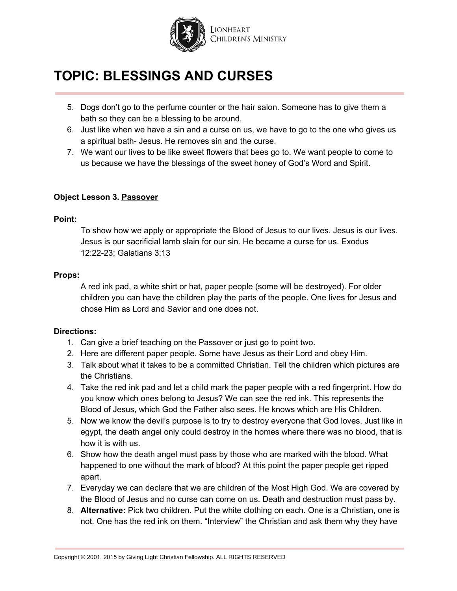

- 5. Dogs don't go to the perfume counter or the hair salon. Someone has to give them a bath so they can be a blessing to be around.
- 6. Just like when we have a sin and a curse on us, we have to go to the one who gives us a spiritual bath- Jesus. He removes sin and the curse.
- 7. We want our lives to be like sweet flowers that bees go to. We want people to come to us because we have the blessings of the sweet honey of God's Word and Spirit.

#### **Object Lesson 3. Passover**

#### **Point:**

To show how we apply or appropriate the Blood of Jesus to our lives. Jesus is our lives. Jesus is our sacrificial lamb slain for our sin. He became a curse for us. Exodus 12:22-23; Galatians 3:13

#### **Props:**

A red ink pad, a white shirt or hat, paper people (some will be destroyed). For older children you can have the children play the parts of the people. One lives for Jesus and chose Him as Lord and Savior and one does not.

- 1. Can give a brief teaching on the Passover or just go to point two.
- 2. Here are different paper people. Some have Jesus as their Lord and obey Him.
- 3. Talk about what it takes to be a committed Christian. Tell the children which pictures are the Christians.
- 4. Take the red ink pad and let a child mark the paper people with a red fingerprint. How do you know which ones belong to Jesus? We can see the red ink. This represents the Blood of Jesus, which God the Father also sees. He knows which are His Children.
- 5. Now we know the devil's purpose is to try to destroy everyone that God loves. Just like in egypt, the death angel only could destroy in the homes where there was no blood, that is how it is with us.
- 6. Show how the death angel must pass by those who are marked with the blood. What happened to one without the mark of blood? At this point the paper people get ripped apart.
- 7. Everyday we can declare that we are children of the Most High God. We are covered by the Blood of Jesus and no curse can come on us. Death and destruction must pass by.
- 8. **Alternative:** Pick two children. Put the white clothing on each. One is a Christian, one is not. One has the red ink on them. "Interview" the Christian and ask them why they have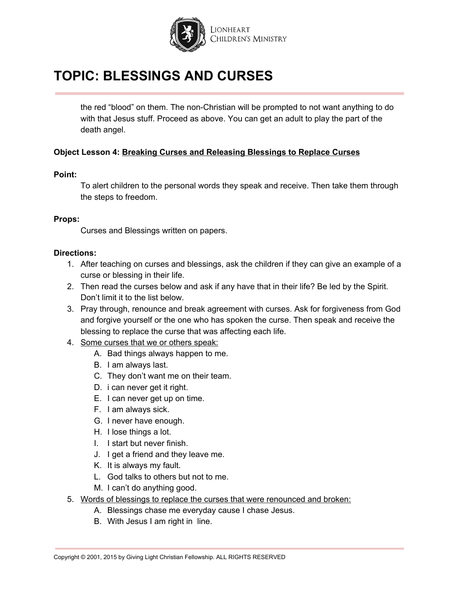

the red "blood" on them. The non-Christian will be prompted to not want anything to do with that Jesus stuff. Proceed as above. You can get an adult to play the part of the death angel.

#### **Object Lesson 4: Breaking Curses and Releasing Blessings to Replace Curses**

#### **Point:**

To alert children to the personal words they speak and receive. Then take them through the steps to freedom.

#### **Props:**

Curses and Blessings written on papers.

- 1. After teaching on curses and blessings, ask the children if they can give an example of a curse or blessing in their life.
- 2. Then read the curses below and ask if any have that in their life? Be led by the Spirit. Don't limit it to the list below.
- 3. Pray through, renounce and break agreement with curses. Ask for forgiveness from God and forgive yourself or the one who has spoken the curse. Then speak and receive the blessing to replace the curse that was affecting each life.
- 4. Some curses that we or others speak:
	- A. Bad things always happen to me.
	- B. I am always last.
	- C. They don't want me on their team.
	- D. i can never get it right.
	- E. I can never get up on time.
	- F. I am always sick.
	- G. I never have enough.
	- H. I lose things a lot.
	- I. I start but never finish.
	- J. I get a friend and they leave me.
	- K. It is always my fault.
	- L. God talks to others but not to me.
	- M. I can't do anything good.
- 5. Words of blessings to replace the curses that were renounced and broken:
	- A. Blessings chase me everyday cause I chase Jesus.
	- B. With Jesus I am right in line.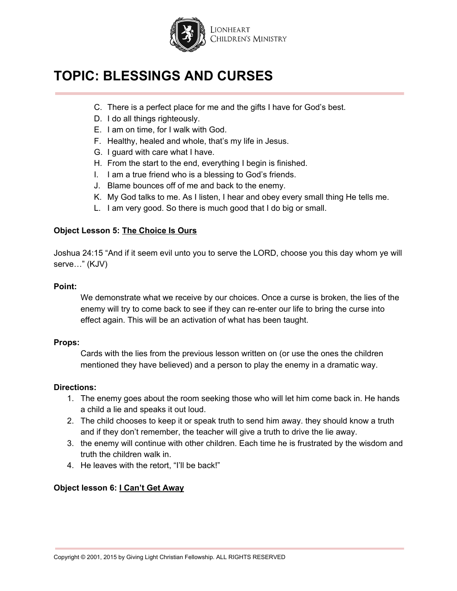

- C. There is a perfect place for me and the gifts I have for God's best.
- D. I do all things righteously.
- E. I am on time, for I walk with God.
- F. Healthy, healed and whole, that's my life in Jesus.
- G. I guard with care what I have.
- H. From the start to the end, everything I begin is finished.
- I. I am a true friend who is a blessing to God's friends.
- J. Blame bounces off of me and back to the enemy.
- K. My God talks to me. As I listen, I hear and obey every small thing He tells me.
- L. I am very good. So there is much good that I do big or small.

#### **Object Lesson 5: The Choice Is Ours**

Joshua 24:15 "And if it seem evil unto you to serve the LORD, choose you this day whom ye will serve…" (KJV)

#### **Point:**

We demonstrate what we receive by our choices. Once a curse is broken, the lies of the enemy will try to come back to see if they can re-enter our life to bring the curse into effect again. This will be an activation of what has been taught.

#### **Props:**

Cards with the lies from the previous lesson written on (or use the ones the children mentioned they have believed) and a person to play the enemy in a dramatic way.

#### **Directions:**

- 1. The enemy goes about the room seeking those who will let him come back in. He hands a child a lie and speaks it out loud.
- 2. The child chooses to keep it or speak truth to send him away. they should know a truth and if they don't remember, the teacher will give a truth to drive the lie away.
- 3. the enemy will continue with other children. Each time he is frustrated by the wisdom and truth the children walk in.
- 4. He leaves with the retort, "I'll be back!"

#### **Object lesson 6: I Can't Get Away**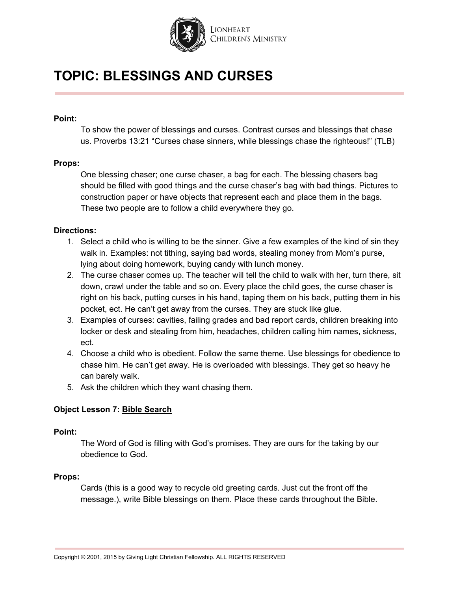

#### **Point:**

To show the power of blessings and curses. Contrast curses and blessings that chase us. Proverbs 13:21 "Curses chase sinners, while blessings chase the righteous!" (TLB)

#### **Props:**

One blessing chaser; one curse chaser, a bag for each. The blessing chasers bag should be filled with good things and the curse chaser's bag with bad things. Pictures to construction paper or have objects that represent each and place them in the bags. These two people are to follow a child everywhere they go.

#### **Directions:**

- 1. Select a child who is willing to be the sinner. Give a few examples of the kind of sin they walk in. Examples: not tithing, saying bad words, stealing money from Mom's purse, lying about doing homework, buying candy with lunch money.
- 2. The curse chaser comes up. The teacher will tell the child to walk with her, turn there, sit down, crawl under the table and so on. Every place the child goes, the curse chaser is right on his back, putting curses in his hand, taping them on his back, putting them in his pocket, ect. He can't get away from the curses. They are stuck like glue.
- 3. Examples of curses: cavities, failing grades and bad report cards, children breaking into locker or desk and stealing from him, headaches, children calling him names, sickness, ect.
- 4. Choose a child who is obedient. Follow the same theme. Use blessings for obedience to chase him. He can't get away. He is overloaded with blessings. They get so heavy he can barely walk.
- 5. Ask the children which they want chasing them.

#### **Object Lesson 7: Bible Search**

#### **Point:**

The Word of God is filling with God's promises. They are ours for the taking by our obedience to God.

#### **Props:**

Cards (this is a good way to recycle old greeting cards. Just cut the front off the message.), write Bible blessings on them. Place these cards throughout the Bible.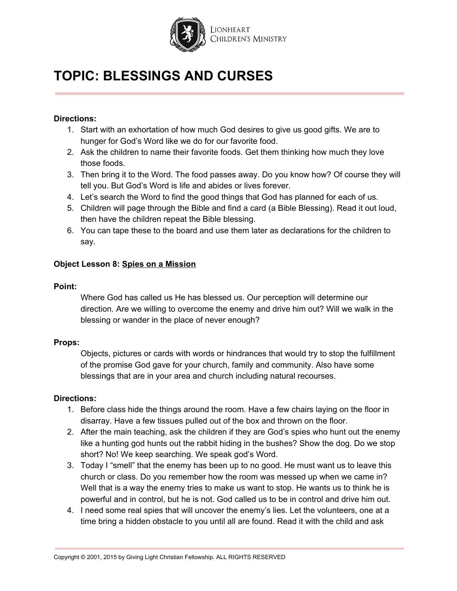

#### **Directions:**

- 1. Start with an exhortation of how much God desires to give us good gifts. We are to hunger for God's Word like we do for our favorite food.
- 2. Ask the children to name their favorite foods. Get them thinking how much they love those foods.
- 3. Then bring it to the Word. The food passes away. Do you know how? Of course they will tell you. But God's Word is life and abides or lives forever.
- 4. Let's search the Word to find the good things that God has planned for each of us.
- 5. Children will page through the Bible and find a card (a Bible Blessing). Read it out loud, then have the children repeat the Bible blessing.
- 6. You can tape these to the board and use them later as declarations for the children to say.

#### **Object Lesson 8: Spies on a Mission**

#### **Point:**

Where God has called us He has blessed us. Our perception will determine our direction. Are we willing to overcome the enemy and drive him out? Will we walk in the blessing or wander in the place of never enough?

#### **Props:**

Objects, pictures or cards with words or hindrances that would try to stop the fulfillment of the promise God gave for your church, family and community. Also have some blessings that are in your area and church including natural recourses.

- 1. Before class hide the things around the room. Have a few chairs laying on the floor in disarray. Have a few tissues pulled out of the box and thrown on the floor.
- 2. After the main teaching, ask the children if they are God's spies who hunt out the enemy like a hunting god hunts out the rabbit hiding in the bushes? Show the dog. Do we stop short? No! We keep searching. We speak god's Word.
- 3. Today I "smell" that the enemy has been up to no good. He must want us to leave this church or class. Do you remember how the room was messed up when we came in? Well that is a way the enemy tries to make us want to stop. He wants us to think he is powerful and in control, but he is not. God called us to be in control and drive him out.
- 4. I need some real spies that will uncover the enemy's lies. Let the volunteers, one at a time bring a hidden obstacle to you until all are found. Read it with the child and ask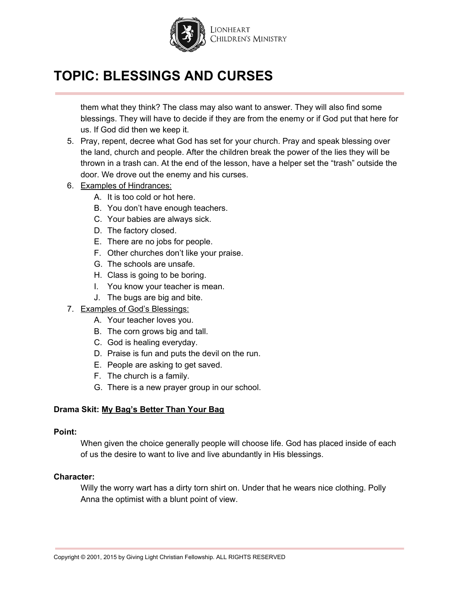

them what they think? The class may also want to answer. They will also find some blessings. They will have to decide if they are from the enemy or if God put that here for us. If God did then we keep it.

- 5. Pray, repent, decree what God has set for your church. Pray and speak blessing over the land, church and people. After the children break the power of the lies they will be thrown in a trash can. At the end of the lesson, have a helper set the "trash" outside the door. We drove out the enemy and his curses.
- 6. Examples of Hindrances:
	- A. It is too cold or hot here.
	- B. You don't have enough teachers.
	- C. Your babies are always sick.
	- D. The factory closed.
	- E. There are no jobs for people.
	- F. Other churches don't like your praise.
	- G. The schools are unsafe.
	- H. Class is going to be boring.
	- I. You know your teacher is mean.
	- J. The bugs are big and bite.
- 7. Examples of God's Blessings:
	- A. Your teacher loves you.
	- B. The corn grows big and tall.
	- C. God is healing everyday.
	- D. Praise is fun and puts the devil on the run.
	- E. People are asking to get saved.
	- F. The church is a family.
	- G. There is a new prayer group in our school.

#### **Drama Skit: My Bag's Better Than Your Bag**

#### **Point:**

When given the choice generally people will choose life. God has placed inside of each of us the desire to want to live and live abundantly in His blessings.

#### **Character:**

Willy the worry wart has a dirty torn shirt on. Under that he wears nice clothing. Polly Anna the optimist with a blunt point of view.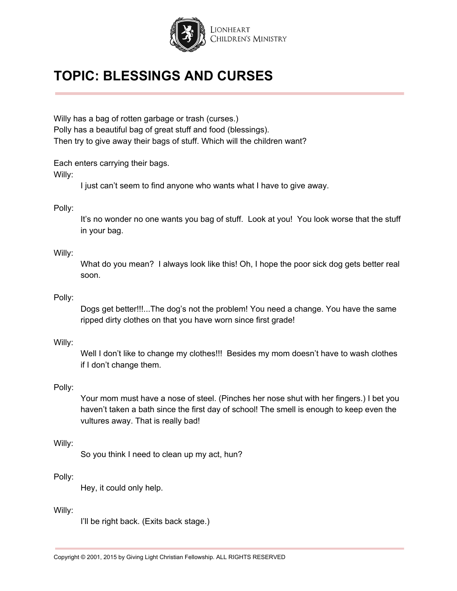

Willy has a bag of rotten garbage or trash (curses.) Polly has a beautiful bag of great stuff and food (blessings). Then try to give away their bags of stuff. Which will the children want?

Each enters carrying their bags.

Willy:

I just can't seem to find anyone who wants what I have to give away.

#### Polly:

It's no wonder no one wants you bag of stuff. Look at you! You look worse that the stuff in your bag.

#### Willy:

What do you mean? I always look like this! Oh, I hope the poor sick dog gets better real soon.

#### Polly:

Dogs get better!!!...The dog's not the problem! You need a change. You have the same ripped dirty clothes on that you have worn since first grade!

#### Willy:

Well I don't like to change my clothes!!! Besides my mom doesn't have to wash clothes if I don't change them.

#### Polly:

Your mom must have a nose of steel. (Pinches her nose shut with her fingers.) I bet you haven't taken a bath since the first day of school! The smell is enough to keep even the vultures away. That is really bad!

#### Willy:

So you think I need to clean up my act, hun?

#### Polly:

Hey, it could only help.

#### Willy:

I'll be right back. (Exits back stage.)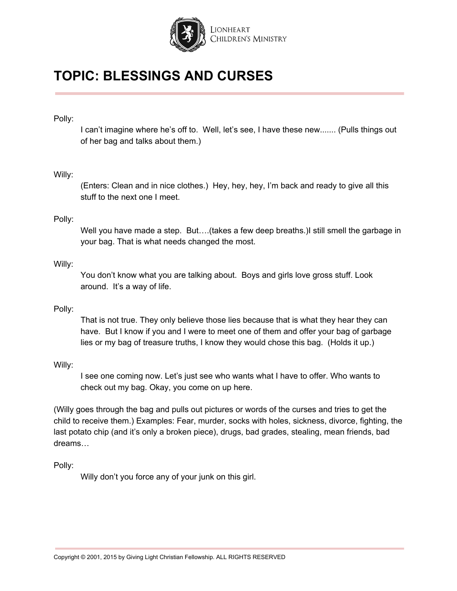

#### Polly:

I can't imagine where he's off to. Well, let's see, I have these new....... (Pulls things out of her bag and talks about them.)

#### Willy:

(Enters: Clean and in nice clothes.) Hey, hey, hey, I'm back and ready to give all this stuff to the next one I meet.

#### Polly:

Well you have made a step. But....(takes a few deep breaths.) still smell the garbage in your bag. That is what needs changed the most.

#### Willy:

You don't know what you are talking about. Boys and girls love gross stuff. Look around. It's a way of life.

#### Polly:

That is not true. They only believe those lies because that is what they hear they can have. But I know if you and I were to meet one of them and offer your bag of garbage lies or my bag of treasure truths, I know they would chose this bag. (Holds it up.)

#### Willy:

I see one coming now. Let's just see who wants what I have to offer. Who wants to check out my bag. Okay, you come on up here.

(Willy goes through the bag and pulls out pictures or words of the curses and tries to get the child to receive them.) Examples: Fear, murder, socks with holes, sickness, divorce, fighting, the last potato chip (and it's only a broken piece), drugs, bad grades, stealing, mean friends, bad dreams…

Polly:

Willy don't you force any of your junk on this girl.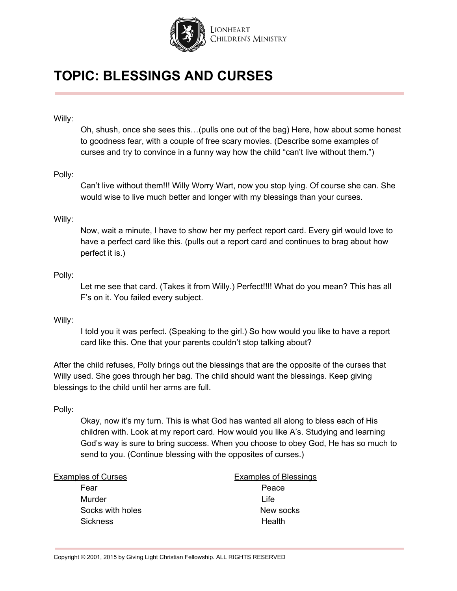

#### Willy:

Oh, shush, once she sees this…(pulls one out of the bag) Here, how about some honest to goodness fear, with a couple of free scary movies. (Describe some examples of curses and try to convince in a funny way how the child "can't live without them.")

#### Polly:

Can't live without them!!! Willy Worry Wart, now you stop lying. Of course she can. She would wise to live much better and longer with my blessings than your curses.

#### Willy:

Now, wait a minute, I have to show her my perfect report card. Every girl would love to have a perfect card like this. (pulls out a report card and continues to brag about how perfect it is.)

#### Polly:

Let me see that card. (Takes it from Willy.) Perfect!!!! What do you mean? This has all F's on it. You failed every subject.

#### Willy:

I told you it was perfect. (Speaking to the girl.) So how would you like to have a report card like this. One that your parents couldn't stop talking about?

After the child refuses, Polly brings out the blessings that are the opposite of the curses that Willy used. She goes through her bag. The child should want the blessings. Keep giving blessings to the child until her arms are full.

#### Polly:

Okay, now it's my turn. This is what God has wanted all along to bless each of His children with. Look at my report card. How would you like A's. Studying and learning God's way is sure to bring success. When you choose to obey God, He has so much to send to you. (Continue blessing with the opposites of curses.)

Fear Peace Murder Life Sickness **Health** 

Examples of Curses Examples of Blessings Socks with holes New socks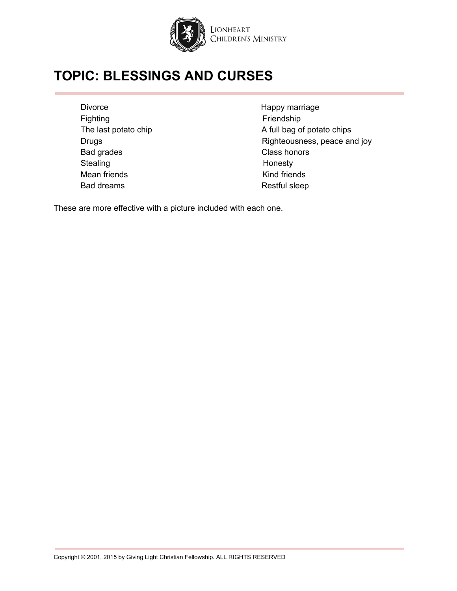

Divorce **Happy marriage** Fighting Fighting **Fighting Fighting** Bad grades **Class honors** Stealing **Honesty** Mean friends Kind friends Bad dreams Restful sleep

The last potato chip A full bag of potato chips Drugs **Drugs Righteousness**, peace and joy

These are more effective with a picture included with each one.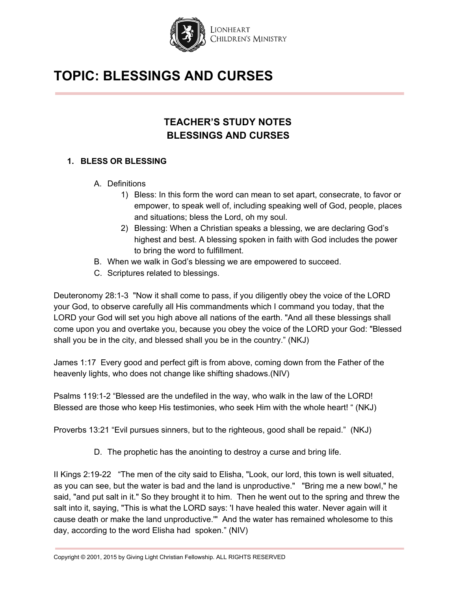

## **TEACHER'S STUDY NOTES BLESSINGS AND CURSES**

#### **1. BLESS OR BLESSING**

- A. Definitions
	- 1) Bless: In this form the word can mean to set apart, consecrate, to favor or empower, to speak well of, including speaking well of God, people, places and situations; bless the Lord, oh my soul.
	- 2) Blessing: When a Christian speaks a blessing, we are declaring God's highest and best. A blessing spoken in faith with God includes the power to bring the word to fulfillment.
- B. When we walk in God's blessing we are empowered to succeed.
- C. Scriptures related to blessings.

Deuteronomy 28:1-3 "Now it shall come to pass, if you diligently obey the voice of the LORD your God, to observe carefully all His commandments which I command you today, that the LORD your God will set you high above all nations of the earth. "And all these blessings shall come upon you and overtake you, because you obey the voice of the LORD your God: "Blessed shall you be in the city, and blessed shall you be in the country." (NKJ)

James 1:17 Every good and perfect gift is from above, coming down from the Father of the heavenly lights, who does not change like shifting shadows.(NIV)

Psalms 119:1-2 "Blessed are the undefiled in the way, who walk in the law of the LORD! Blessed are those who keep His testimonies, who seek Him with the whole heart! " (NKJ)

Proverbs 13:21 "Evil pursues sinners, but to the righteous, good shall be repaid." (NKJ)

D. The prophetic has the anointing to destroy a curse and bring life.

II Kings 2:19-22 "The men of the city said to Elisha, "Look, our lord, this town is well situated, as you can see, but the water is bad and the land is unproductive." "Bring me a new bowl," he said, "and put salt in it." So they brought it to him. Then he went out to the spring and threw the salt into it, saying, "This is what the LORD says: 'I have healed this water. Never again will it cause death or make the land unproductive.'" And the water has remained wholesome to this day, according to the word Elisha had spoken." (NIV)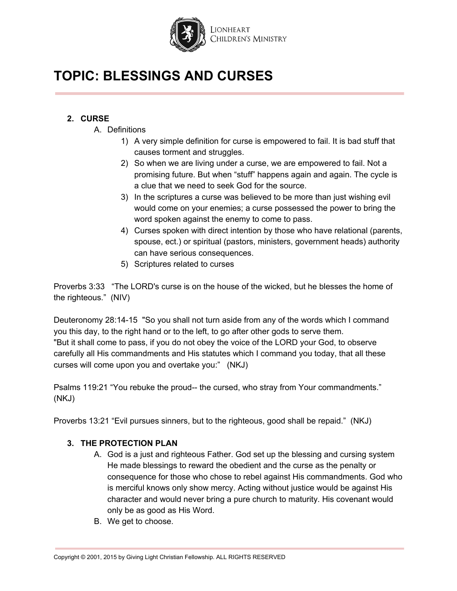

### **2. CURSE**

- A. Definitions
	- 1) A very simple definition for curse is empowered to fail. It is bad stuff that causes torment and struggles.
	- 2) So when we are living under a curse, we are empowered to fail. Not a promising future. But when "stuff" happens again and again. The cycle is a clue that we need to seek God for the source.
	- 3) In the scriptures a curse was believed to be more than just wishing evil would come on your enemies; a curse possessed the power to bring the word spoken against the enemy to come to pass.
	- 4) Curses spoken with direct intention by those who have relational (parents, spouse, ect.) or spiritual (pastors, ministers, government heads) authority can have serious consequences.
	- 5) Scriptures related to curses

Proverbs 3:33 "The LORD's curse is on the house of the wicked, but he blesses the home of the righteous." (NIV)

Deuteronomy 28:14-15 "So you shall not turn aside from any of the words which I command you this day, to the right hand or to the left, to go after other gods to serve them. "But it shall come to pass, if you do not obey the voice of the LORD your God, to observe carefully all His commandments and His statutes which I command you today, that all these curses will come upon you and overtake you:" (NKJ)

Psalms 119:21 "You rebuke the proud-- the cursed, who stray from Your commandments." (NKJ)

Proverbs 13:21 "Evil pursues sinners, but to the righteous, good shall be repaid." (NKJ)

#### **3. THE PROTECTION PLAN**

- A. God is a just and righteous Father. God set up the blessing and cursing system He made blessings to reward the obedient and the curse as the penalty or consequence for those who chose to rebel against His commandments. God who is merciful knows only show mercy. Acting without justice would be against His character and would never bring a pure church to maturity. His covenant would only be as good as His Word.
- B. We get to choose.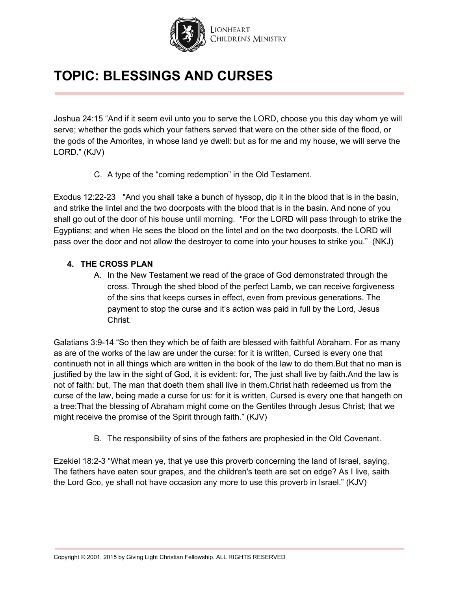

Joshua 24:15 "And if it seem evil unto you to serve the LORD, choose you this day whom ye will serve; whether the gods which your fathers served that were on the other side of the flood, or the gods of the Amorites, in whose land ye dwell: but as for me and my house, we will serve the LORD." (KJV)

C. A type of the "coming redemption" in the Old Testament.

Exodus 12:22-23 "And you shall take a bunch of hyssop, dip it in the blood that is in the basin, and strike the lintel and the two doorposts with the blood that is in the basin. And none of you shall go out of the door of his house until morning. "For the LORD will pass through to strike the Egyptians; and when He sees the blood on the lintel and on the two doorposts, the LORD will pass over the door and not allow the destroyer to come into your houses to strike you." (NKJ)

#### **4. THE CROSS PLAN**

A. In the New Testament we read of the grace of God demonstrated through the cross. Through the shed blood of the perfect Lamb, we can receive forgiveness of the sins that keeps curses in effect, even from previous generations. The payment to stop the curse and it's action was paid in full by the Lord, Jesus Christ.

Galatians 3:9-14 "So then they which be of faith are blessed with faithful Abraham. For as many as are of the works of the law are under the curse: for it is written, Cursed is every one that continueth not in all things which are written in the book of the law to do them.But that no man is justified by the law in the sight of God, it is evident: for, The just shall live by faith.And the law is not of faith: but, The man that doeth them shall live in them.Christ hath redeemed us from the curse of the law, being made a curse for us: for it is written, Cursed is every one that hangeth on a tree:That the blessing of Abraham might come on the Gentiles through Jesus Christ; that we might receive the promise of the Spirit through faith." (KJV)

B. The responsibility of sins of the fathers are prophesied in the Old Covenant.

Ezekiel 18:2-3 "What mean ye, that ye use this proverb concerning the land of Israel, saying, The fathers have eaten sour grapes, and the children's teeth are set on edge? As I live, saith the Lord GOD, ye shall not have occasion any more to use this proverb in Israel." (KJV)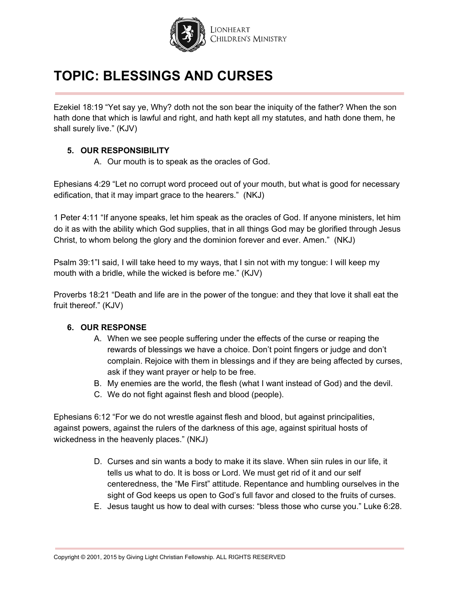

Ezekiel 18:19 "Yet say ye, Why? doth not the son bear the iniquity of the father? When the son hath done that which is lawful and right, and hath kept all my statutes, and hath done them, he shall surely live." (KJV)

#### **5. OUR RESPONSIBILITY**

A. Our mouth is to speak as the oracles of God.

Ephesians 4:29 "Let no corrupt word proceed out of your mouth, but what is good for necessary edification, that it may impart grace to the hearers." (NKJ)

1 Peter 4:11 "If anyone speaks, let him speak as the oracles of God. If anyone ministers, let him do it as with the ability which God supplies, that in all things God may be glorified through Jesus Christ, to whom belong the glory and the dominion forever and ever. Amen." (NKJ)

Psalm 39:1"I said, I will take heed to my ways, that I sin not with my tongue: I will keep my mouth with a bridle, while the wicked is before me." (KJV)

Proverbs 18:21 "Death and life are in the power of the tongue: and they that love it shall eat the fruit thereof." (KJV)

#### **6. OUR RESPONSE**

- A. When we see people suffering under the effects of the curse or reaping the rewards of blessings we have a choice. Don't point fingers or judge and don't complain. Rejoice with them in blessings and if they are being affected by curses, ask if they want prayer or help to be free.
- B. My enemies are the world, the flesh (what I want instead of God) and the devil.
- C. We do not fight against flesh and blood (people).

Ephesians 6:12 "For we do not wrestle against flesh and blood, but against principalities, against powers, against the rulers of the darkness of this age, against spiritual hosts of wickedness in the heavenly places." (NKJ)

- D. Curses and sin wants a body to make it its slave. When siin rules in our life, it tells us what to do. It is boss or Lord. We must get rid of it and our self centeredness, the "Me First" attitude. Repentance and humbling ourselves in the sight of God keeps us open to God's full favor and closed to the fruits of curses.
- E. Jesus taught us how to deal with curses: "bless those who curse you." Luke 6:28.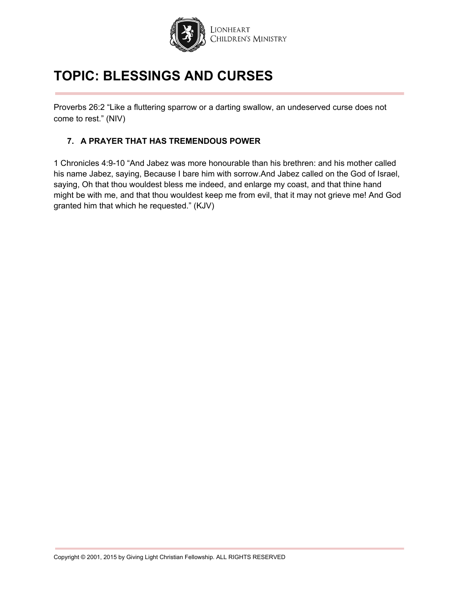

Proverbs 26:2 "Like a fluttering sparrow or a darting swallow, an undeserved curse does not come to rest." (NIV)

#### **7. A PRAYER THAT HAS TREMENDOUS POWER**

1 Chronicles 4:9-10 "And Jabez was more honourable than his brethren: and his mother called his name Jabez, saying, Because I bare him with sorrow.And Jabez called on the God of Israel, saying, Oh that thou wouldest bless me indeed, and enlarge my coast, and that thine hand might be with me, and that thou wouldest keep me from evil, that it may not grieve me! And God granted him that which he requested." (KJV)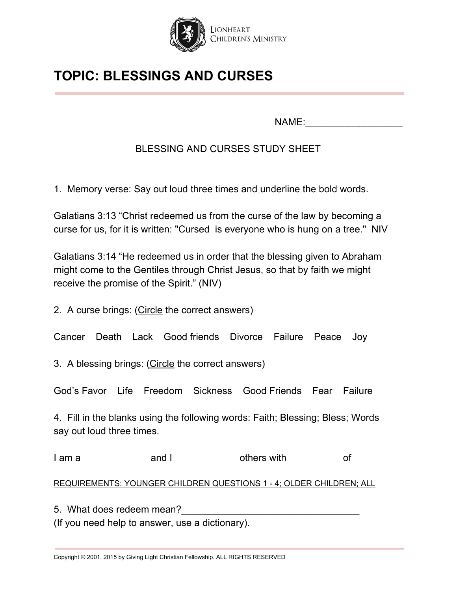

NAME:

### BLESSING AND CURSES STUDY SHEET

1. Memory verse: Say out loud three times and underline the bold words.

Galatians 3:13 "Christ redeemed us from the curse of the law by becoming a curse for us, for it is written: "Cursed is everyone who is hung on a tree." NIV

Galatians 3:14 "He redeemed us in order that the blessing given to Abraham might come to the Gentiles through Christ Jesus, so that by faith we might receive the promise of the Spirit." (NIV)

2. A curse brings: (Circle the correct answers)

Cancer Death Lack Good friends Divorce Failure Peace Joy

3. A blessing brings: (Circle the correct answers)

God's Favor Life Freedom Sickness Good Friends Fear Failure

4. Fill in the blanks using the following words: Faith; Blessing; Bless; Words say out loud three times.

I am a and I others with of

REQUIREMENTS: YOUNGER CHILDREN QUESTIONS 1 - 4; OLDER CHILDREN; ALL

5. What does redeem mean?

(If you need help to answer, use a dictionary).